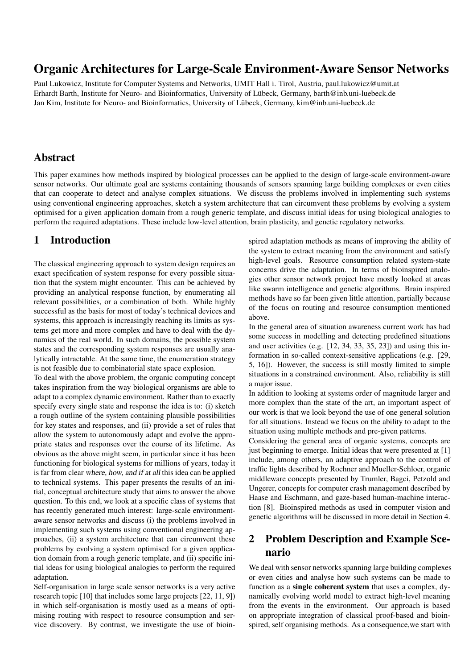# Organic Architectures for Large-Scale Environment-Aware Sensor Networks

Paul Lukowicz, Institute for Computer Systems and Networks, UMIT Hall i. Tirol, Austria, paul.lukowicz@umit.at Erhardt Barth, Institute for Neuro- and Bioinformatics, University of Lubeck, Germany, barth@inb.uni-luebeck.de ¨ Jan Kim, Institute for Neuro- and Bioinformatics, University of Lübeck, Germany, kim@inb.uni-luebeck.de

## Abstract

This paper examines how methods inspired by biological processes can be applied to the design of large-scale environment-aware sensor networks. Our ultimate goal are systems containing thousands of sensors spanning large building complexes or even cities that can cooperate to detect and analyse complex situations. We discuss the problems involved in implementing such systems using conventional engineering approaches, sketch a system architecture that can circumvent these problems by evolving a system optimised for a given application domain from a rough generic template, and discuss initial ideas for using biological analogies to perform the required adaptations. These include low-level attention, brain plasticity, and genetic regulatory networks.

# 1 Introduction

The classical engineering approach to system design requires an exact specification of system response for every possible situation that the system might encounter. This can be achieved by providing an analytical response function, by enumerating all relevant possibilities, or a combination of both. While highly successful as the basis for most of today's technical devices and systems, this approach is increasingly reaching its limits as systems get more and more complex and have to deal with the dynamics of the real world. In such domains, the possible system states and the corresponding system responses are usually analytically intractable. At the same time, the enumeration strategy is not feasible due to combinatorial state space explosion.

To deal with the above problem, the organic computing concept takes inspiration from the way biological organisms are able to adapt to a complex dynamic environment. Rather than to exactly specify every single state and response the idea is to: (i) sketch a rough outline of the system containing plausible possibilities for key states and responses, and (ii) provide a set of rules that allow the system to autonomously adapt and evolve the appropriate states and responses over the course of its lifetime. As obvious as the above might seem, in particular since it has been functioning for biological systems for millions of years, today it is far from clear where, how, and if at all this idea can be applied to technical systems. This paper presents the results of an initial, conceptual architecture study that aims to answer the above question. To this end, we look at a specific class of systems that has recently generated much interest: large-scale environmentaware sensor networks and discuss (i) the problems involved in implementing such systems using conventional engineering approaches, (ii) a system architecture that can circumvent these problems by evolving a system optimised for a given application domain from a rough generic template, and (ii) specific initial ideas for using biological analogies to perform the required adaptation.

Self-organisation in large scale sensor networks is a very active research topic [10] that includes some large projects [22, 11, 9]) in which self-organisation is mostly used as a means of optimising routing with respect to resource consumption and service discovery. By contrast, we investigate the use of bioinspired adaptation methods as means of improving the ability of the system to extract meaning from the environment and satisfy high-level goals. Resource consumption related system-state concerns drive the adaptation. In terms of bioinspired analogies other sensor network project have mostly looked at areas like swarm intelligence and genetic algorithms. Brain inspired methods have so far been given little attention, partially because of the focus on routing and resource consumption mentioned above.

In the general area of situation awareness current work has had some success in modelling and detecting predefined situations and user activities (e.g. [12, 34, 33, 35, 23]) and using this information in so-called context-sensitive applications (e.g. [29, 5, 16]). However, the success is still mostly limited to simple situations in a constrained environment. Also, reliability is still a major issue.

In addition to looking at systems order of magnitude larger and more complex than the state of the art, an important aspect of our work is that we look beyond the use of one general solution for all situations. Instead we focus on the ability to adapt to the situation using multiple methods and pre-given patterns.

Considering the general area of organic systems, concepts are just beginning to emerge. Initial ideas that were presented at [1] include, among others, an adaptive approach to the control of traffic lights described by Rochner and Mueller-Schloer, organic middleware concepts presented by Trumler, Bagci, Petzold and Ungerer, concepts for computer crash management described by Haase and Eschmann, and gaze-based human-machine interaction [8]. Bioinspired methods as used in computer vision and genetic algorithms will be discussed in more detail in Section 4.

# 2 Problem Description and Example Scenario

We deal with sensor networks spanning large building complexes or even cities and analyse how such systems can be made to function as a single coherent system that uses a complex, dynamically evolving world model to extract high-level meaning from the events in the environment. Our approach is based on appropriate integration of classical proof-based and bioinspired, self organising methods. As a consequence,we start with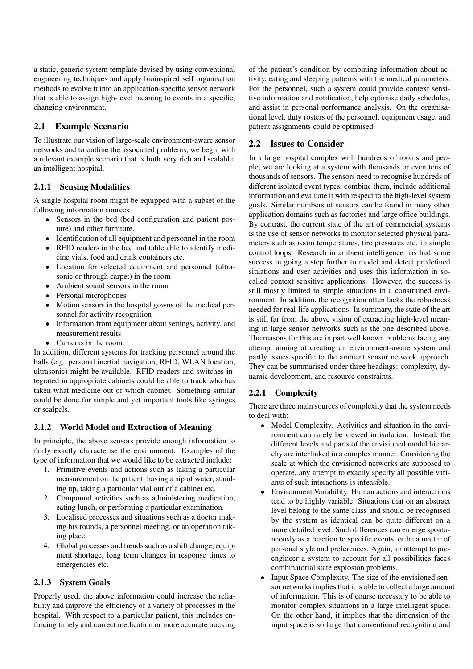a static, generic system template devised by using conventional engineering techniques and apply bioinspired self organisation methods to evolve it into an application-specific sensor network that is able to assign high-level meaning to events in a specific, changing environment.

## 2.1 Example Scenario

To illustrate our vision of large-scale environment-aware sensor networks and to outline the associated problems, we begin with a relevant example scenario that is both very rich and scalable: an intelligent hospital.

### 2.1.1 Sensing Modalities

A single hospital room might be equipped with a subset of the following information sources

- Sensors in the bed (bed configuration and patient posture) and other furniture.
- Identification of all equipment and personnel in the room
- RFID readers in the bed and table able to identify medicine vials, food and drink containers etc.
- Location for selected equipment and personnel (ultrasonic or through carpet) in the room
- Ambient sound sensors in the room
- Personal microphones
- Motion sensors in the hospital gowns of the medical personnel for activity recognition
- Information from equipment about settings, activity, and measurement results
- Cameras in the room.

In addition, different systems for tracking personnel around the halls (e.g. personal inertial navigation, RFID, WLAN location, ultrasonic) might be available. RFID readers and switches integrated in appropriate cabinets could be able to track who has taken what medicine out of which cabinet. Something similar could be done for simple and yet important tools like syringes or scalpels.

## 2.1.2 World Model and Extraction of Meaning

In principle, the above sensors provide enough information to fairly exactly characterise the environment. Examples of the type of information that we would like to be extracted include:

- 1. Primitive events and actions such as taking a particular measurement on the patient, having a sip of water, standing up, taking a particular vial out of a cabinet etc.
- 2. Compound activities such as administering medication, eating lunch, or performing a particular examination.
- 3. Localised processes and situations such as a doctor making his rounds, a personnel meeting, or an operation taking place.
- 4. Global processes and trends such as a shift change, equipment shortage, long term changes in response times to emergencies etc.

## 2.1.3 System Goals

Properly used, the above information could increase the reliability and improve the efficiency of a variety of processes in the hospital. With respect to a particular patient, this includes enforcing timely and correct medication or more accurate tracking of the patient's condition by combining information about activity, eating and sleeping patterns with the medical parameters. For the personnel, such a system could provide context sensitive information and notification, help optimise daily schedules, and assist in personal performance analysis. On the organisational level, duty rosters of the personnel, equipment usage, and patient assignments could be optimised.

## 2.2 Issues to Consider

In a large hospital complex with hundreds of rooms and people, we are looking at a system with thousands or even tens of thousands of sensors. The sensors need to recognise hundreds of different isolated event types, combine them, include additional information and evaluate it with respect to the high-level system goals. Similar numbers of sensors can be found in many other application domains such as factories and large office buildings. By contrast, the current state of the art of commercial systems is the use of sensor networks to monitor selected physical parameters such as room temperatures, tire pressures etc. in simple control loops. Research in ambient intelligence has had some success in going a step further to model and detect predefined situations and user activities and uses this information in socalled context sensitive applications. However, the success is still mostly limited to simple situations in a constrained environment. In addition, the recognition often lacks the robustness needed for real-life applications. In summary, the state of the art is still far from the above vision of extracting high-level meaning in large sensor networks such as the one described above. The reasons for this are in part well known problems facing any attempt aiming at creating an environment-aware system and partly issues specific to the ambient sensor network approach. They can be summarised under three headings: complexity, dynamic development, and resource constraints.

### 2.2.1 Complexity

There are three main sources of complexity that the system needs to deal with:

- Model Complexity. Activities and situation in the environment can rarely be viewed in isolation. Instead, the different levels and parts of the envisioned model hierarchy are interlinked in a complex manner. Considering the scale at which the envisioned networks are supposed to operate, any attempt to exactly specify all possible variants of such interactions is infeasible.
- Environment Variability. Human actions and interactions tend to be highly variable. Situations that on an abstract level belong to the same class and should be recognised by the system as identical can be quite different on a more detailed level. Such differences can emerge spontaneously as a reaction to specific events, or be a matter of personal style and preferences. Again, an attempt to preengineer a system to account for all possibilities faces combinatorial state explosion problems.
- Input Space Complexity. The size of the envisioned sensor networks implies that it is able to collect a large amount of information. This is of course necessary to be able to monitor complex situations in a large intelligent space. On the other hand, it implies that the dimension of the input space is so large that conventional recognition and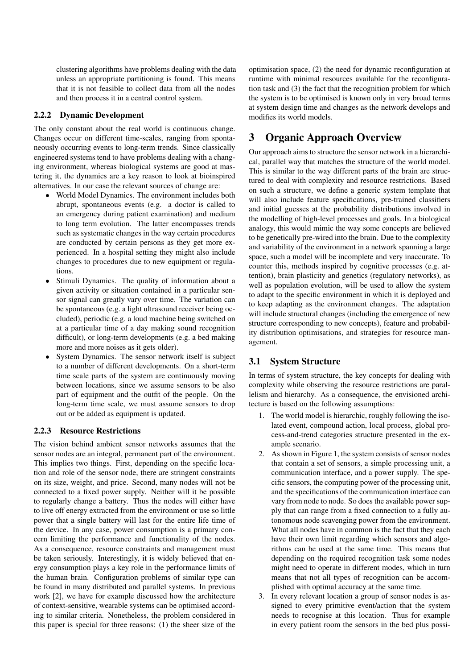clustering algorithms have problems dealing with the data unless an appropriate partitioning is found. This means that it is not feasible to collect data from all the nodes and then process it in a central control system.

### 2.2.2 Dynamic Development

The only constant about the real world is continuous change. Changes occur on different time-scales, ranging from spontaneously occurring events to long-term trends. Since classically engineered systems tend to have problems dealing with a changing environment, whereas biological systems are good at mastering it, the dynamics are a key reason to look at bioinspired alternatives. In our case the relevant sources of change are:

- World Model Dynamics. The environment includes both abrupt, spontaneous events (e.g. a doctor is called to an emergency during patient examination) and medium to long term evolution. The latter encompasses trends such as systematic changes in the way certain procedures are conducted by certain persons as they get more experienced. In a hospital setting they might also include changes to procedures due to new equipment or regulations.
- Stimuli Dynamics. The quality of information about a given activity or situation contained in a particular sensor signal can greatly vary over time. The variation can be spontaneous (e.g. a light ultrasound receiver being occluded), periodic (e.g. a loud machine being switched on at a particular time of a day making sound recognition difficult), or long-term developments (e.g. a bed making more and more noises as it gets older).
- System Dynamics. The sensor network itself is subject to a number of different developments. On a short-term time scale parts of the system are continuously moving between locations, since we assume sensors to be also part of equipment and the outfit of the people. On the long-term time scale, we must assume sensors to drop out or be added as equipment is updated.

#### 2.2.3 Resource Restrictions

The vision behind ambient sensor networks assumes that the sensor nodes are an integral, permanent part of the environment. This implies two things. First, depending on the specific location and role of the sensor node, there are stringent constraints on its size, weight, and price. Second, many nodes will not be connected to a fixed power supply. Neither will it be possible to regularly change a battery. Thus the nodes will either have to live off energy extracted from the environment or use so little power that a single battery will last for the entire life time of the device. In any case, power consumption is a primary concern limiting the performance and functionality of the nodes. As a consequence, resource constraints and management must be taken seriously. Interestingly, it is widely believed that energy consumption plays a key role in the performance limits of the human brain. Configuration problems of similar type can be found in many distributed and parallel systems. In previous work [2], we have for example discussed how the architecture of context-sensitive, wearable systems can be optimised according to similar criteria. Nonetheless, the problem considered in this paper is special for three reasons: (1) the sheer size of the optimisation space, (2) the need for dynamic reconfiguration at runtime with minimal resources available for the reconfiguration task and (3) the fact that the recognition problem for which the system is to be optimised is known only in very broad terms at system design time and changes as the network develops and modifies its world models.

# 3 Organic Approach Overview

Our approach aims to structure the sensor network in a hierarchical, parallel way that matches the structure of the world model. This is similar to the way different parts of the brain are structured to deal with complexity and resource restrictions. Based on such a structure, we define a generic system template that will also include feature specifications, pre-trained classifiers and initial guesses at the probability distributions involved in the modelling of high-level processes and goals. In a biological analogy, this would mimic the way some concepts are believed to be genetically pre-wired into the brain. Due to the complexity and variability of the environment in a network spanning a large space, such a model will be incomplete and very inaccurate. To counter this, methods inspired by cognitive processes (e.g. attention), brain plasticity and genetics (regulatory networks), as well as population evolution, will be used to allow the system to adapt to the specific environment in which it is deployed and to keep adapting as the environment changes. The adaptation will include structural changes (including the emergence of new structure corresponding to new concepts), feature and probability distribution optimisations, and strategies for resource management.

## 3.1 System Structure

In terms of system structure, the key concepts for dealing with complexity while observing the resource restrictions are parallelism and hierarchy. As a consequence, the envisioned architecture is based on the following assumptions:

- 1. The world model is hierarchic, roughly following the isolated event, compound action, local process, global process-and-trend categories structure presented in the example scenario.
- 2. As shown in Figure 1, the system consists of sensor nodes that contain a set of sensors, a simple processing unit, a communication interface, and a power supply. The specific sensors, the computing power of the processing unit, and the specifications of the communication interface can vary from node to node. So does the available power supply that can range from a fixed connection to a fully autonomous node scavenging power from the environment. What all nodes have in common is the fact that they each have their own limit regarding which sensors and algorithms can be used at the same time. This means that depending on the required recognition task some nodes might need to operate in different modes, which in turn means that not all types of recognition can be accomplished with optimal accuracy at the same time.
- 3. In every relevant location a group of sensor nodes is assigned to every primitive event/action that the system needs to recognise at this location. Thus for example in every patient room the sensors in the bed plus possi-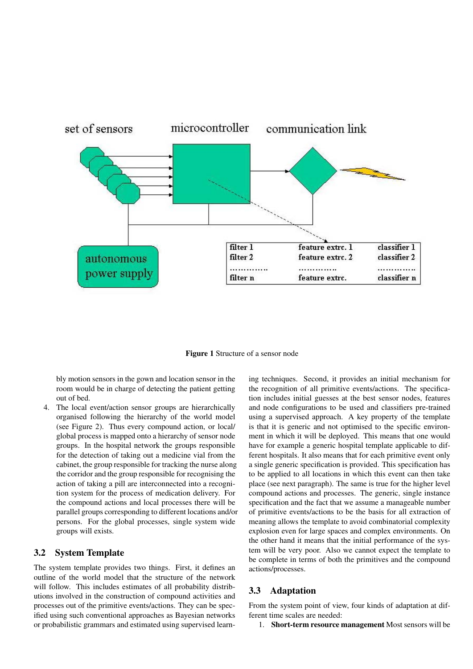

Figure 1 Structure of a sensor node

bly motion sensors in the gown and location sensor in the room would be in charge of detecting the patient getting out of bed.

4. The local event/action sensor groups are hierarchically organised following the hierarchy of the world model (see Figure 2). Thus every compound action, or local/ global process is mapped onto a hierarchy of sensor node groups. In the hospital network the groups responsible for the detection of taking out a medicine vial from the cabinet, the group responsible for tracking the nurse along the corridor and the group responsible for recognising the action of taking a pill are interconnected into a recognition system for the process of medication delivery. For the compound actions and local processes there will be parallel groups corresponding to different locations and/or persons. For the global processes, single system wide groups will exists.

#### 3.2 System Template

The system template provides two things. First, it defines an outline of the world model that the structure of the network will follow. This includes estimates of all probability distributions involved in the construction of compound activities and processes out of the primitive events/actions. They can be specified using such conventional approaches as Bayesian networks or probabilistic grammars and estimated using supervised learn-

ing techniques. Second, it provides an initial mechanism for the recognition of all primitive events/actions. The specification includes initial guesses at the best sensor nodes, features and node configurations to be used and classifiers pre-trained using a supervised approach. A key property of the template is that it is generic and not optimised to the specific environment in which it will be deployed. This means that one would have for example a generic hospital template applicable to different hospitals. It also means that for each primitive event only a single generic specification is provided. This specification has to be applied to all locations in which this event can then take place (see next paragraph). The same is true for the higher level compound actions and processes. The generic, single instance specification and the fact that we assume a manageable number of primitive events/actions to be the basis for all extraction of meaning allows the template to avoid combinatorial complexity explosion even for large spaces and complex environments. On the other hand it means that the initial performance of the system will be very poor. Also we cannot expect the template to be complete in terms of both the primitives and the compound actions/processes.

### 3.3 Adaptation

From the system point of view, four kinds of adaptation at different time scales are needed:

1. Short-term resource management Most sensors will be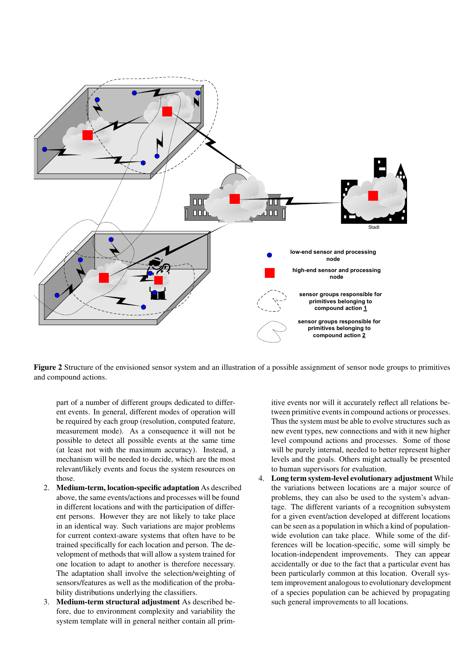

Figure 2 Structure of the envisioned sensor system and an illustration of a possible assignment of sensor node groups to primitives and compound actions.

part of a number of different groups dedicated to different events. In general, different modes of operation will be required by each group (resolution, computed feature, measurement mode). As a consequence it will not be possible to detect all possible events at the same time (at least not with the maximum accuracy). Instead, a mechanism will be needed to decide, which are the most relevant/likely events and focus the system resources on those.

- 2. Medium-term, location-specific adaptation As described above, the same events/actions and processes will be found in different locations and with the participation of different persons. However they are not likely to take place in an identical way. Such variations are major problems for current context-aware systems that often have to be trained specifically for each location and person. The development of methods that will allow a system trained for one location to adapt to another is therefore necessary. The adaptation shall involve the selection/weighting of sensors/features as well as the modification of the probability distributions underlying the classifiers.
- 3. Medium-term structural adjustment As described before, due to environment complexity and variability the system template will in general neither contain all prim-

itive events nor will it accurately reflect all relations between primitive events in compound actions or processes. Thus the system must be able to evolve structures such as new event types, new connections and with it new higher level compound actions and processes. Some of those will be purely internal, needed to better represent higher levels and the goals. Others might actually be presented to human supervisors for evaluation.

4. Long term system-level evolutionary adjustment While the variations between locations are a major source of problems, they can also be used to the system's advantage. The different variants of a recognition subsystem for a given event/action developed at different locations can be seen as a population in which a kind of populationwide evolution can take place. While some of the differences will be location-specific, some will simply be location-independent improvements. They can appear accidentally or due to the fact that a particular event has been particularly common at this location. Overall system improvement analogous to evolutionary development of a species population can be achieved by propagating such general improvements to all locations.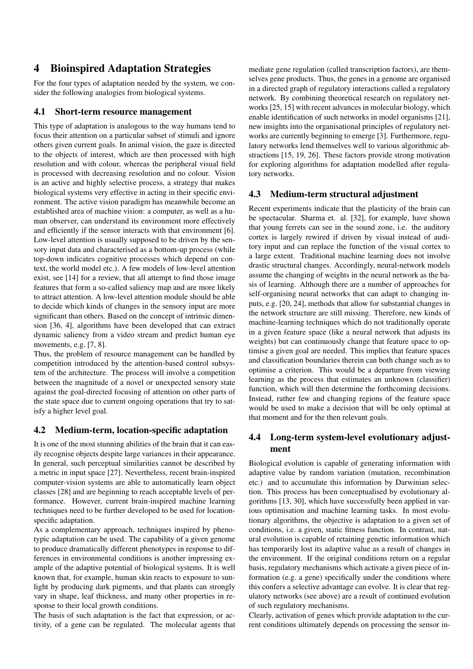# 4 Bioinspired Adaptation Strategies

For the four types of adaptation needed by the system, we consider the following analogies from biological systems.

### 4.1 Short-term resource management

This type of adaptation is analogous to the way humans tend to focus their attention on a particular subset of stimuli and ignore others given current goals. In animal vision, the gaze is directed to the objects of interest, which are then processed with high resolution and with colour, whereas the peripheral visual field is processed with decreasing resolution and no colour. Vision is an active and highly selective process, a strategy that makes biological systems very effective in acting in their specific environment. The active vision paradigm has meanwhile become an established area of machine vision: a computer, as well as a human observer, can understand its environment more effectively and efficiently if the sensor interacts with that environment [6]. Low-level attention is usually supposed to be driven by the sensory input data and characterised as a bottom-up process (while top-down indicates cognitive processes which depend on context, the world model etc.). A few models of low-level attention exist, see [14] for a review, that all attempt to find those image features that form a so-called saliency map and are more likely to attract attention. A low-level attention module should be able to decide which kinds of changes in the sensory input are more significant than others. Based on the concept of intrinsic dimension [36, 4], algorithms have been developed that can extract dynamic saliency from a video stream and predict human eye movements, e.g. [7, 8].

Thus, the problem of resource management can be handled by competition introduced by the attention-based control subsystem of the architecture. The process will involve a competition between the magnitude of a novel or unexpected sensory state against the goal-directed focusing of attention on other parts of the state space due to current ongoing operations that try to satisfy a higher level goal.

### 4.2 Medium-term, location-specific adaptation

It is one of the most stunning abilities of the brain that it can easily recognise objects despite large variances in their appearance. In general, such perceptual similarities cannot be described by a metric in input space [27]. Nevertheless, recent brain-inspired computer-vision systems are able to automatically learn object classes [28] and are beginning to reach acceptable levels of performance. However, current brain-inspired machine learning techniques need to be further developed to be used for locationspecific adaptation.

As a complementary approach, techniques inspired by phenotypic adaptation can be used. The capability of a given genome to produce dramatically different phenotypes in response to differences in environmental conditions is another impressing example of the adaptive potential of biological systems. It is well known that, for example, human skin reacts to exposure to sunlight by producing dark pigments, and that plants can strongly vary in shape, leaf thickness, and many other properties in response to their local growth conditions.

The basis of such adaptation is the fact that expression, or activity, of a gene can be regulated. The molecular agents that mediate gene regulation (called transcription factors), are themselves gene products. Thus, the genes in a genome are organised in a directed graph of regulatory interactions called a regulatory network. By combining theoretical research on regulatory networks [25, 15] with recent advances in molecular biology, which enable identification of such networks in model organisms [21], new insights into the organisational principles of regulatory networks are currently beginning to emerge [3]. Furthermore, regulatory networks lend themselves well to various algorithmic abstractions [15, 19, 26]. These factors provide strong motivation for exploring algorithms for adaptation modelled after regulatory networks.

### 4.3 Medium-term structural adjustment

Recent experiments indicate that the plasticity of the brain can be spectacular. Sharma et. al. [32], for example, have shown that young ferrets can see in the sound zone, i.e. the auditory cortex is largely rewired if driven by visual instead of auditory input and can replace the function of the visual cortex to a large extent. Traditional machine learning does not involve drastic structural changes. Accordingly, neural-network models assume the changing of weights in the neural network as the basis of learning. Although there are a number of approaches for self-organising neural networks that can adapt to changing inputs, e.g. [20, 24], methods that allow for substantial changes in the network structure are still missing. Therefore, new kinds of machine-learning techniques which do not traditionally operate in a given feature space (like a neural network that adjusts its weights) but can continuously change that feature space to optimise a given goal are needed. This implies that feature spaces and classification boundaries therein can both change such as to optimise a criterion. This would be a departure from viewing learning as the process that estimates an unknown (classifier) function, which will then determine the forthcoming decisions. Instead, rather few and changing regions of the feature space would be used to make a decision that will be only optimal at that moment and for the then relevant goals.

## 4.4 Long-term system-level evolutionary adjustment

Biological evolution is capable of generating information with adaptive value by random variation (mutation, recombination etc.) and to accumulate this information by Darwinian selection. This process has been conceptualised by evolutionary algorithms [13, 30], which have successfully been applied in various optimisation and machine learning tasks. In most evolutionary algorithms, the objective is adaptation to a given set of conditions, i.e. a given, static fitness function. In contrast, natural evolution is capable of retaining genetic information which has temporarily lost its adaptive value as a result of changes in the environment. If the original conditions return on a regular basis, regulatory mechanisms which activate a given piece of information (e.g. a gene) specifically under the conditions where this confers a selective advantage can evolve. It is clear that regulatory networks (see above) are a result of continued evolution of such regulatory mechanisms.

Clearly, activation of genes which provide adaptation to the current conditions ultimately depends on processing the sensor in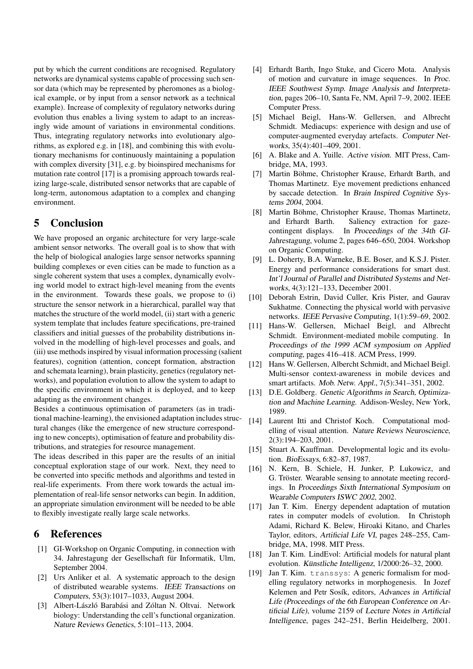put by which the current conditions are recognised. Regulatory networks are dynamical systems capable of processing such sensor data (which may be represented by pheromones as a biological example, or by input from a sensor network as a technical example). Increase of complexity of regulatory networks during evolution thus enables a living system to adapt to an increasingly wide amount of variations in environmental conditions. Thus, integrating regulatory networks into evolutionary algorithms, as explored e.g. in [18], and combining this with evolutionary mechanisms for continuously maintaining a population with complex diversity [31], e.g. by bioinspired mechanisms for mutation rate control [17] is a promising approach towards realizing large-scale, distributed sensor networks that are capable of long-term, autonomous adaptation to a complex and changing environment.

# 5 Conclusion

We have proposed an organic architecture for very large-scale ambient sensor networks. The overall goal is to show that with the help of biological analogies large sensor networks spanning building complexes or even cities can be made to function as a single coherent system that uses a complex, dynamically evolving world model to extract high-level meaning from the events in the environment. Towards these goals, we propose to (i) structure the sensor network in a hierarchical, parallel way that matches the structure of the world model, (ii) start with a generic system template that includes feature specifications, pre-trained classifiers and initial guesses of the probability distributions involved in the modelling of high-level processes and goals, and (iii) use methods inspired by visual information processing (salient features), cognition (attention, concept formation, abstraction and schemata learning), brain plasticity, genetics (regulatory networks), and population evolution to allow the system to adapt to the specific environment in which it is deployed, and to keep adapting as the environment changes.

Besides a continuous optimisation of parameters (as in traditional machine-learning), the envisioned adaptation includes structural changes (like the emergence of new structure corresponding to new concepts), optimisation of feature and probability distributions, and strategies for resource management.

The ideas described in this paper are the results of an initial conceptual exploration stage of our work. Next, they need to be converted into specific methods and algorithms and tested in real-life experiments. From there work towards the actual implementation of real-life sensor networks can begin. In addition, an appropriate simulation environment will be needed to be able to flexibly investigate really large scale networks.

## 6 References

- [1] GI-Workshop on Organic Computing, in connection with 34. Jahrestagung der Gesellschaft für Informatik, Ulm, September 2004.
- [2] Urs Anliker et al. A systematic approach to the design of distributed wearable systems. IEEE Transactions on Computers, 53(3):1017–1033, August 2004.
- [3] Albert-László Barabási and Zóltan N. Oltvai. Network biology: Understanding the cell's functional organization. Nature Reviews Genetics, 5:101–113, 2004.
- [4] Erhardt Barth, Ingo Stuke, and Cicero Mota. Analysis of motion and curvature in image sequences. In Proc. IEEE Southwest Symp. Image Analysis and Interpretation, pages 206–10, Santa Fe, NM, April 7–9, 2002. IEEE Computer Press.
- [5] Michael Beigl, Hans-W. Gellersen, and Albrecht Schmidt. Mediacups: experience with design and use of computer-augmented everyday artefacts. Computer Networks, 35(4):401–409, 2001.
- [6] A. Blake and A. Yuille. Active vision. MIT Press, Cambridge, MA, 1993.
- [7] Martin Böhme, Christopher Krause, Erhardt Barth, and Thomas Martinetz. Eye movement predictions enhanced by saccade detection. In Brain Inspired Cognitive Systems 2004, 2004.
- [8] Martin Böhme, Christopher Krause, Thomas Martinetz, and Erhardt Barth. Saliency extraction for gazecontingent displays. In Proceedings of the 34th GI-Jahrestagung, volume 2, pages 646–650, 2004. Workshop on Organic Computing.
- [9] L. Doherty, B.A. Warneke, B.E. Boser, and K.S.J. Pister. Energy and performance considerations for smart dust. Int'l Journal of Parallel and Distributed Systems and Networks, 4(3):121–133, December 2001.
- [10] Deborah Estrin, David Culler, Kris Pister, and Gaurav Sukhatme. Connecting the physical world with pervasive networks. IEEE Pervasive Computing, 1(1):59–69, 2002.
- [11] Hans-W. Gellersen, Michael Beigl, and Albrecht Schmidt. Environment-mediated mobile computing. In Proceedings of the 1999 ACM symposium on Applied computing, pages 416–418. ACM Press, 1999.
- [12] Hans W. Gellersen, Albercht Schmidt, and Michael Beigl. Multi-sensor context-awareness in mobile devices and smart artifacts. Mob. Netw. Appl., 7(5):341–351, 2002.
- [13] D.E. Goldberg. Genetic Algorithms in Search, Optimization and Machine Learning. Addison-Wesley, New York, 1989.
- [14] Laurent Itti and Christof Koch. Computational modelling of visual attention. Nature Reviews Neuroscience, 2(3):194–203, 2001.
- [15] Stuart A. Kauffman. Developmental logic and its evolution. BioEssays, 6:82–87, 1987.
- [16] N. Kern, B. Schiele, H. Junker, P. Lukowicz, and G. Tröster. Wearable sensing to annotate meeting recordings. In Proceedings Sixth International Symposium on Wearable Computers ISWC 2002, 2002.
- [17] Jan T. Kim. Energy dependent adaptation of mutation rates in computer models of evolution. In Christoph Adami, Richard K. Belew, Hiroaki Kitano, and Charles Taylor, editors, Artificial Life VI, pages 248–255, Cambridge, MA, 1998. MIT Press.
- [18] Jan T. Kim. LindEvol: Artificial models for natural plant evolution. Künstliche Intelligenz, 1/2000:26–32, 2000.
- [19] Jan T. Kim. transsys: A generic formalism for modelling regulatory networks in morphogenesis. In Jozef Kelemen and Petr Sosík, editors, Advances in Artificial Life (Proceedings of the 6th European Conference on Artificial Life), volume 2159 of Lecture Notes in Artificial Intelligence, pages 242–251, Berlin Heidelberg, 2001.